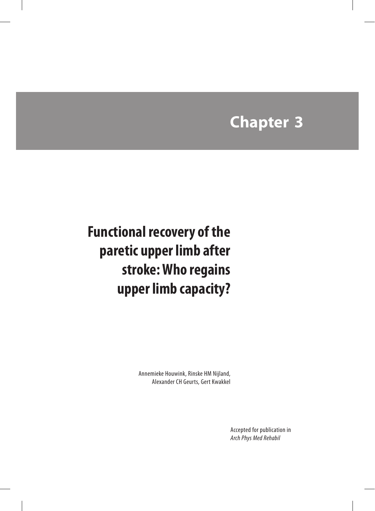## **Chapter 3**

## **Functional recovery of the paretic upper limb after stroke: Who regains upper limb capacity?**

Annemieke Houwink, Rinske HM Nijland, Alexander CH Geurts, Gert Kwakkel

> Accepted for publication in *Arch Phys Med Rehabil*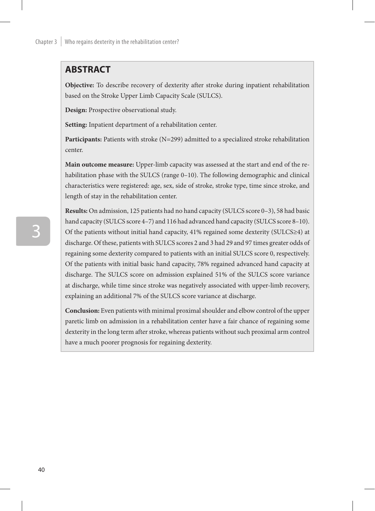## **ABSTRACT**

**Objective:** To describe recovery of dexterity after stroke during inpatient rehabilitation based on the Stroke Upper Limb Capacity Scale (SULCS).

**Design:** Prospective observational study.

**Setting:** Inpatient department of a rehabilitation center.

**Participants:** Patients with stroke (N=299) admitted to a specialized stroke rehabilitation center.

**Main outcome measure:** Upper-limb capacity was assessed at the start and end of the rehabilitation phase with the SULCS (range 0–10). The following demographic and clinical characteristics were registered: age, sex, side of stroke, stroke type, time since stroke, and length of stay in the rehabilitation center.

**Results:** On admission, 125 patients had no hand capacity (SULCS score 0–3), 58 had basic hand capacity (SULCS score 4–7) and 116 had advanced hand capacity (SULCS score 8–10). Of the patients without initial hand capacity, 41% regained some dexterity (SULCS≥4) at discharge. Of these, patients with SULCS scores 2 and 3 had 29 and 97 times greater odds of regaining some dexterity compared to patients with an initial SULCS score 0, respectively. Of the patients with initial basic hand capacity, 78% regained advanced hand capacity at discharge. The SULCS score on admission explained 51% of the SULCS score variance at discharge, while time since stroke was negatively associated with upper-limb recovery, explaining an additional 7% of the SULCS score variance at discharge.

**Conclusion:** Even patients with minimal proximal shoulder and elbow control of the upper paretic limb on admission in a rehabilitation center have a fair chance of regaining some dexterity in the long term after stroke, whereas patients without such proximal arm control have a much poorer prognosis for regaining dexterity.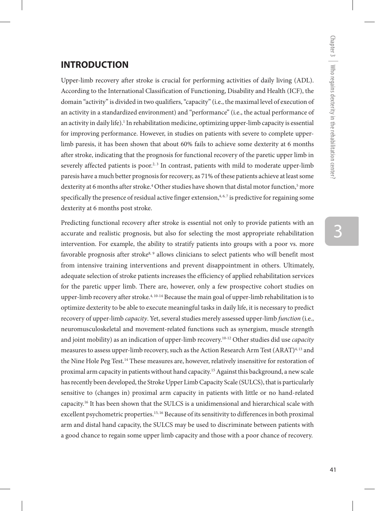# 3

## **INTRODUCTION**

Upper-limb recovery after stroke is crucial for performing activities of daily living (ADL). According to the International Classification of Functioning, Disability and Health (ICF), the domain "activity" is divided in two qualifiers, "capacity" (i.e., the maximal level of execution of an activity in a standardized environment) and "performance" (i.e., the actual performance of an activity in daily life).<sup>1</sup> In rehabilitation medicine, optimizing upper-limb capacity is essential for improving performance. However, in studies on patients with severe to complete upperlimb paresis, it has been shown that about 60% fails to achieve some dexterity at 6 months after stroke, indicating that the prognosis for functional recovery of the paretic upper limb in severely affected patients is poor.<sup>2, 3</sup> In contrast, patients with mild to moderate upper-limb paresis have a much better prognosis for recovery, as 71% of these patients achieve at least some dexterity at 6 months after stroke.<sup>4</sup> Other studies have shown that distal motor function,<sup>5</sup> more specifically the presence of residual active finger extension, $4,6,7$  is predictive for regaining some dexterity at 6 months post stroke.

Predicting functional recovery after stroke is essential not only to provide patients with an accurate and realistic prognosis, but also for selecting the most appropriate rehabilitation intervention. For example, the ability to stratify patients into groups with a poor vs. more favorable prognosis after stroke<sup>8, 9</sup> allows clinicians to select patients who will benefit most from intensive training interventions and prevent disappointment in others. Ultimately, adequate selection of stroke patients increases the efficiency of applied rehabilitation services for the paretic upper limb. There are, however, only a few prospective cohort studies on upper-limb recovery after stroke.<sup>4, 10-14</sup> Because the main goal of upper-limb rehabilitation is to optimize dexterity to be able to execute meaningful tasks in daily life, it is necessary to predict recovery of upper-limb *capacity*. Yet, several studies merely assessed upper-limb *function* (i.e., neuromusculoskeletal and movement-related functions such as synergism, muscle strength and joint mobility) as an indication of upper-limb recovery.10-12 Other studies did use *capacity* measures to assess upper-limb recovery, such as the Action Research Arm Test (ARAT)<sup>4, 13</sup> and the Nine Hole Peg Test.<sup>14</sup> These measures are, however, relatively insensitive for restoration of proximal arm capacity in patients without hand capacity.15 Against this background, a new scale has recently been developed, the Stroke Upper Limb Capacity Scale (SULCS), that is particularly sensitive to (changes in) proximal arm capacity in patients with little or no hand-related capacity.16 It has been shown that the SULCS is a unidimensional and hierarchical scale with excellent psychometric properties.<sup>15, 16</sup> Because of its sensitivity to differences in both proximal arm and distal hand capacity, the SULCS may be used to discriminate between patients with a good chance to regain some upper limb capacity and those with a poor chance of recovery.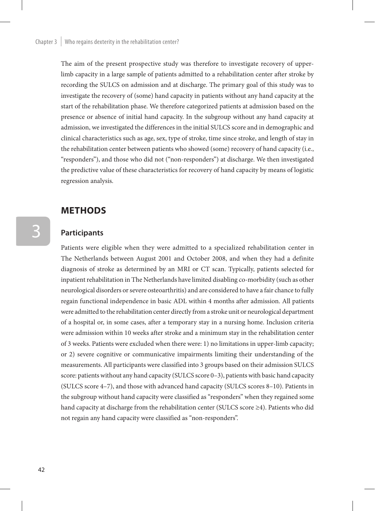The aim of the present prospective study was therefore to investigate recovery of upperlimb capacity in a large sample of patients admitted to a rehabilitation center after stroke by recording the SULCS on admission and at discharge. The primary goal of this study was to investigate the recovery of (some) hand capacity in patients without any hand capacity at the start of the rehabilitation phase. We therefore categorized patients at admission based on the presence or absence of initial hand capacity. In the subgroup without any hand capacity at admission, we investigated the differences in the initial SULCS score and in demographic and clinical characteristics such as age, sex, type of stroke, time since stroke, and length of stay in the rehabilitation center between patients who showed (some) recovery of hand capacity (i.e., "responders"), and those who did not ("non-responders") at discharge. We then investigated the predictive value of these characteristics for recovery of hand capacity by means of logistic regression analysis.

### **methods**

#### **Participants**

Patients were eligible when they were admitted to a specialized rehabilitation center in The Netherlands between August 2001 and October 2008, and when they had a definite diagnosis of stroke as determined by an MRI or CT scan. Typically, patients selected for inpatient rehabilitation in The Netherlands have limited disabling co-morbidity (such as other neurological disorders or severe osteoarthritis) and are considered to have a fair chance to fully regain functional independence in basic ADL within 4 months after admission. All patients were admitted to the rehabilitation center directly from a stroke unit or neurological department of a hospital or, in some cases, after a temporary stay in a nursing home. Inclusion criteria were admission within 10 weeks after stroke and a minimum stay in the rehabilitation center of 3 weeks. Patients were excluded when there were: 1) no limitations in upper-limb capacity; or 2) severe cognitive or communicative impairments limiting their understanding of the measurements. All participants were classified into 3 groups based on their admission SULCS score: patients without any hand capacity (SULCS score 0-3), patients with basic hand capacity (SULCS score 4–7), and those with advanced hand capacity (SULCS scores 8–10). Patients in the subgroup without hand capacity were classified as "responders" when they regained some hand capacity at discharge from the rehabilitation center (SULCS score ≥4). Patients who did not regain any hand capacity were classified as "non-responders".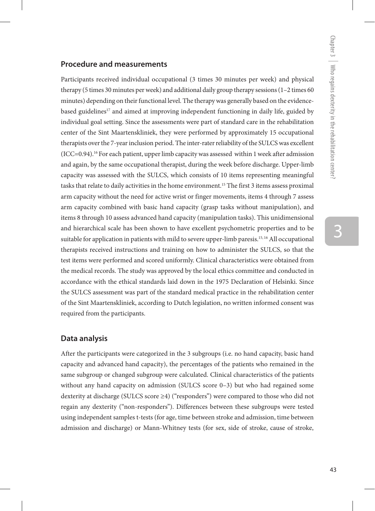# 3

#### **Procedure and measurements**

Participants received individual occupational (3 times 30 minutes per week) and physical therapy (5 times 30 minutes per week) and additional daily group therapy sessions (1–2 times 60 minutes) depending on their functional level. The therapy was generally based on the evidencebased guidelines<sup>17</sup> and aimed at improving independent functioning in daily life, guided by individual goal setting. Since the assessments were part of standard care in the rehabilitation center of the Sint Maartenskliniek, they were performed by approximately 15 occupational therapists over the 7-year inclusion period. The inter-rater reliability of the SULCS was excellent (ICC=0.94).16 For each patient, upper limb capacity was assessed within 1 week after admission and again, by the same occupational therapist, during the week before discharge. Upper-limb capacity was assessed with the SULCS, which consists of 10 items representing meaningful tasks that relate to daily activities in the home environment.<sup>15</sup> The first 3 items assess proximal arm capacity without the need for active wrist or finger movements, items 4 through 7 assess arm capacity combined with basic hand capacity (grasp tasks without manipulation), and items 8 through 10 assess advanced hand capacity (manipulation tasks). This unidimensional and hierarchical scale has been shown to have excellent psychometric properties and to be suitable for application in patients with mild to severe upper-limb paresis.<sup>15, 16</sup> All occupational therapists received instructions and training on how to administer the SULCS, so that the test items were performed and scored uniformly. Clinical characteristics were obtained from the medical records. The study was approved by the local ethics committee and conducted in accordance with the ethical standards laid down in the 1975 Declaration of Helsinki. Since the SULCS assessment was part of the standard medical practice in the rehabilitation center of the Sint Maartenskliniek, according to Dutch legislation, no written informed consent was required from the participants.

#### **Data analysis**

After the participants were categorized in the 3 subgroups (i.e. no hand capacity, basic hand capacity and advanced hand capacity), the percentages of the patients who remained in the same subgroup or changed subgroup were calculated. Clinical characteristics of the patients without any hand capacity on admission (SULCS score 0–3) but who had regained some dexterity at discharge (SULCS score ≥4) ("responders") were compared to those who did not regain any dexterity ("non-responders"). Differences between these subgroups were tested using independent samples t-tests (for age, time between stroke and admission, time between admission and discharge) or Mann-Whitney tests (for sex, side of stroke, cause of stroke,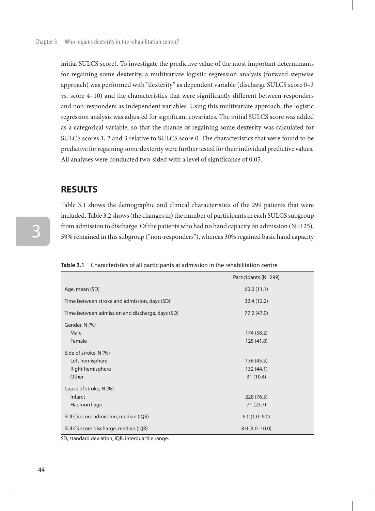initial SULCS score). To investigate the predictive value of the most important determinants for regaining some dexterity, a multivariate logistic regression analysis (forward stepwise approach) was performed with "dexterity" as dependent variable (discharge SULCS score 0–3 vs. score 4–10) and the characteristics that were significantly different between responders and non-responders as independent variables. Using this multivariate approach, the logistic regression analysis was adjusted for significant covariates. The initial SULCS score was added as a categorical variable, so that the chance of regaining some dexterity was calculated for SULCS scores 1, 2 and 3 relative to SULCS score 0. The characteristics that were found to be predictive for regaining some dexterity were further tested for their individual predictive values. All analyses were conducted two-sided with a level of significance of 0.05.

### **RESULTS**

Table 3.1 shows the demographic and clinical characteristics of the 299 patients that were included. Table 3.2 shows (the changes in) the number of participants in each SULCS subgroup from admission to discharge. Of the patients who had no hand capacity on admission  $(N=125)$ , 59% remained in this subgroup ("non-responders"), whereas 30% regained basic hand capacity

|                                                 | Participants (N=299) |
|-------------------------------------------------|----------------------|
| Age, mean (SD)                                  | 60.0(11.1)           |
| Time between stroke and admission, days (SD)    | 32.4 (12.2)          |
| Time between admission and discharge, days (SD) | 77.0 (47.9)          |
| Gender, N (%)                                   |                      |
| Male                                            | 174 (58.2)           |
| Female                                          | 125 (41.8)           |
| Side of stroke, N (%)                           |                      |
| Left hemisphere                                 | 136 (45.5)           |
| Right hemisphere                                | 132 (44.1)           |
| Other                                           | 31(10.4)             |
| Cause of stroke, N (%)                          |                      |
| Infarct                                         | 228 (76.3)           |
| Haemorrhage                                     | 71(23.7)             |
| SULCS score admission, median (IQR)             | $6.0(1.0-9.0)$       |
| SULCS score discharge, median (IQR)             | $8.0(4.0-10.0)$      |

**Table 3.1** Characteristics of all participants at admission in the rehabilitation centre

SD, standard deviation; IQR, interquartile range.

3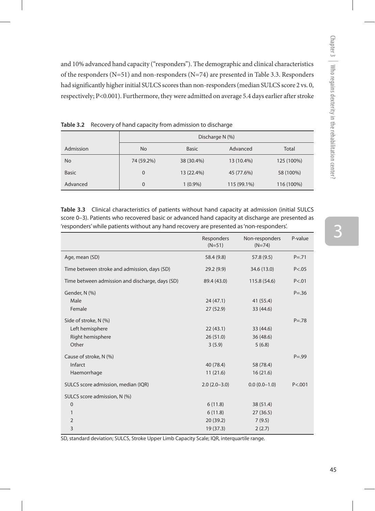and 10% advanced hand capacity ("responders"). The demographic and clinical characteristics of the responders (N=51) and non-responders (N=74) are presented in Table 3.3. Responders had significantly higher initial SULCS scores than non-responders (median SULCS score 2 vs. 0, respectively; P<0.001). Furthermore, they were admitted on average 5.4 days earlier after stroke

|              | Discharge N (%) |              |             |            |
|--------------|-----------------|--------------|-------------|------------|
| Admission    | No.             | <b>Basic</b> | Advanced    | Total      |
| No           | 74 (59.2%)      | 38 (30.4%)   | 13 (10.4%)  | 125 (100%) |
| <b>Basic</b> | $\mathbf 0$     | 13 (22.4%)   | 45 (77.6%)  | 58 (100%)  |
| Advanced     | $\mathbf 0$     | $1(0.9\%)$   | 115 (99.1%) | 116 (100%) |

**Table 3.2** Recovery of hand capacity from admission to discharge

**Table 3.3** Clinical characteristics of patients without hand capacity at admission (initial SULCS score 0–3). Patients who recovered basic or advanced hand capacity at discharge are presented as 'responders' while patients without any hand recovery are presented as 'non-responders'.

|                                                 | Responders<br>$(N=51)$ | Non-responders<br>$(N=74)$ | P-value    |
|-------------------------------------------------|------------------------|----------------------------|------------|
| Age, mean (SD)                                  | 58.4 (9.8)             | 57.8 (9.5)                 | $P = 0.71$ |
| Time between stroke and admission, days (SD)    | 29.2(9.9)              | 34.6 (13.0)                | P < .05    |
| Time between admission and discharge, days (SD) | 89.4 (43.0)            | 115.8 (54.6)               | P < .01    |
| Gender, N (%)                                   |                        |                            | $P = 0.36$ |
| Male                                            | 24(47.1)               | 41 (55.4)                  |            |
| Female                                          | 27 (52.9)              | 33 (44.6)                  |            |
| Side of stroke, N (%)                           |                        |                            | $P = 78$   |
| Left hemisphere                                 | 22(43.1)               | 33 (44.6)                  |            |
| Right hemisphere                                | 26(51.0)               | 36 (48.6)                  |            |
| Other                                           | 3(5.9)                 | 5(6.8)                     |            |
| Cause of stroke, N (%)                          |                        |                            | $P = .99$  |
| Infarct                                         | 40 (78.4)              | 58 (78.4)                  |            |
| Haemorrhage                                     | 11(21.6)               | 16(21.6)                   |            |
| SULCS score admission, median (IQR)             | $2.0(2.0-3.0)$         | $0.0(0.0-1.0)$             | P < .001   |
| SULCS score admission, N (%)                    |                        |                            |            |
| 0                                               | 6(11.8)                | 38 (51.4)                  |            |
| 1                                               | 6(11.8)                | 27(36.5)                   |            |
| $\overline{2}$                                  | 20 (39.2)              | 7(9.5)                     |            |
| 3                                               | 19 (37.3)              | 2(2.7)                     |            |

SD, standard deviation; SULCS, Stroke Upper Limb Capacity Scale; IQR, interquartile range.

3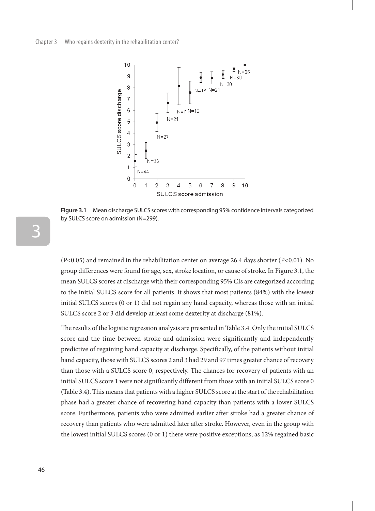

**Figure 3.1** Mean discharge SULCS scores with corresponding 95% confidence intervals categorized by SULCS score on admission (N=299).

(P<0.05) and remained in the rehabilitation center on average 26.4 days shorter (P<0.01). No group differences were found for age, sex, stroke location, or cause of stroke. In Figure 3.1, the mean SULCS scores at discharge with their corresponding 95% CIs are categorized according to the initial SULCS score for all patients. It shows that most patients (84%) with the lowest initial SULCS scores (0 or 1) did not regain any hand capacity, whereas those with an initial SULCS score 2 or 3 did develop at least some dexterity at discharge (81%).

The results of the logistic regression analysis are presented in Table 3.4. Only the initial SULCS score and the time between stroke and admission were significantly and independently predictive of regaining hand capacity at discharge. Specifically, of the patients without initial hand capacity, those with SULCS scores 2 and 3 had 29 and 97 times greater chance of recovery than those with a SULCS score 0, respectively. The chances for recovery of patients with an initial SULCS score 1 were not significantly different from those with an initial SULCS score 0 (Table 3.4). This means that patients with a higher SULCS score at the start of the rehabilitation phase had a greater chance of recovering hand capacity than patients with a lower SULCS score. Furthermore, patients who were admitted earlier after stroke had a greater chance of recovery than patients who were admitted later after stroke. However, even in the group with the lowest initial SULCS scores (0 or 1) there were positive exceptions, as 12% regained basic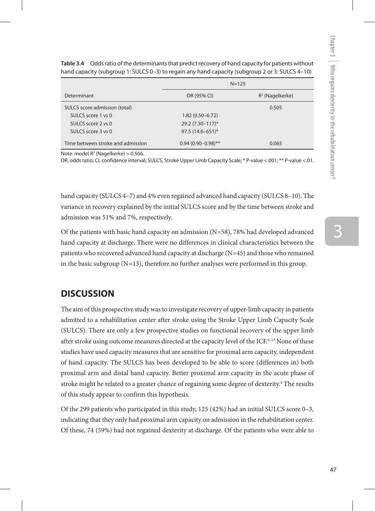| hand capacity (subgroup 1: SULCS 0–3) to regain any hand capacity (subgroup 2 or 3: SULCS 4–10) |                        |                    |  |  |
|-------------------------------------------------------------------------------------------------|------------------------|--------------------|--|--|
|                                                                                                 | $N = 125$              |                    |  |  |
| Determinant                                                                                     | OR (95% CI)            | $R^2$ (Nagelkerke) |  |  |
| SULCS score admission (total)                                                                   |                        | 0.505              |  |  |
| SULCS score 1 ys 0                                                                              | $1.82(0.50 - 6.72)$    |                    |  |  |
| SULCS score 2 ys 0                                                                              | 29.2 (7.30-117)*       |                    |  |  |
| SULCS score 3 ys 0                                                                              | $97.5(14.6 - 651)^*$   |                    |  |  |
| Time between stroke and admission                                                               | $0.94(0.90 - 0.98)$ ** | 0.065              |  |  |

**Table 3.4** Odds ratio of the determinants that predict recovery of hand capacity for patients without

Note: model  $R^2$  (Nagelkerke) = 0.566.

OR, odds ratio; CI, confidence interval; SULCS, Stroke Upper Limb Capacity Scale; \* P-value <.001; \*\* P-value <.01.

hand capacity (SULCS 4–7) and 4% even regained advanced hand capacity (SULCS 8–10). The variance in recovery explained by the initial SULCS score and by the time between stroke and admission was 51% and 7%, respectively.

Of the patients with basic hand capacity on admission  $(N=58)$ , 78% had developed advanced hand capacity at discharge. There were no differences in clinical characteristics between the patients who recovered advanced hand capacity at discharge (N=45) and those who remained in the basic subgroup  $(N=13)$ , therefore no further analyses were performed in this group.

### **DISCUSSION**

The aim of this prospective study was to investigate recovery of upper-limb capacity in patients admitted to a rehabilitation center after stroke using the Stroke Upper Limb Capacity Scale (SULCS). There are only a few prospective studies on functional recovery of the upper limb after stroke using outcome measures directed at the capacity level of the ICF.<sup>4, 13</sup> None of these studies have used capacity measures that are sensitive for proximal arm capacity, independent of hand capacity. The SULCS has been developed to be able to score (differences in) both proximal arm and distal hand capacity. Better proximal arm capacity in the acute phase of stroke might be related to a greater chance of regaining some degree of dexterity.<sup>4</sup> The results of this study appear to confirm this hypothesis.

Of the 299 patients who participated in this study, 125 (42%) had an initial SULCS score 0–3, indicating that they only had proximal arm capacity on admission in the rehabilitation center. Of these, 74 (59%) had not regained dexterity at discharge. Of the patients who were able to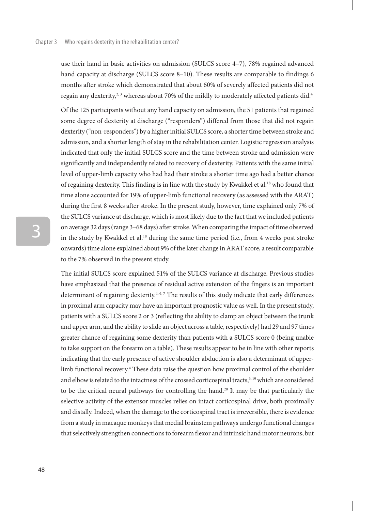#### Chapter  $3 \mid$  Who regains dexterity in the rehabilitation center?

use their hand in basic activities on admission (SULCS score 4–7), 78% regained advanced hand capacity at discharge (SULCS score 8–10). These results are comparable to findings 6 months after stroke which demonstrated that about 60% of severely affected patients did not regain any dexterity, $2.3$  whereas about 70% of the mildly to moderately affected patients did.<sup>4</sup>

Of the 125 participants without any hand capacity on admission, the 51 patients that regained some degree of dexterity at discharge ("responders") differed from those that did not regain dexterity ("non-responders") by a higher initial SULCS score, a shorter time between stroke and admission, and a shorter length of stay in the rehabilitation center. Logistic regression analysis indicated that only the initial SULCS score and the time between stroke and admission were significantly and independently related to recovery of dexterity. Patients with the same initial level of upper-limb capacity who had had their stroke a shorter time ago had a better chance of regaining dexterity. This finding is in line with the study by Kwakkel et al.<sup>18</sup> who found that time alone accounted for 19% of upper-limb functional recovery (as assessed with the ARAT) during the first 8 weeks after stroke. In the present study, however, time explained only 7% of the SULCS variance at discharge, which is most likely due to the fact that we included patients on average 32 days (range 3–68 days) after stroke. When comparing the impact of time observed in the study by Kwakkel et al.18 during the same time period (i.e., from 4 weeks post stroke onwards) time alone explained about 9% of the later change in ARAT score, a result comparable to the 7% observed in the present study.

The initial SULCS score explained 51% of the SULCS variance at discharge. Previous studies have emphasized that the presence of residual active extension of the fingers is an important determinant of regaining dexterity.<sup>4, 6, 7</sup> The results of this study indicate that early differences in proximal arm capacity may have an important prognostic value as well. In the present study, patients with a SULCS score 2 or 3 (reflecting the ability to clamp an object between the trunk and upper arm, and the ability to slide an object across a table, respectively) had 29 and 97 times greater chance of regaining some dexterity than patients with a SULCS score 0 (being unable to take support on the forearm on a table). These results appear to be in line with other reports indicating that the early presence of active shoulder abduction is also a determinant of upperlimb functional recovery.4 These data raise the question how proximal control of the shoulder and elbow is related to the intactness of the crossed corticospinal tracts,<sup>3,19</sup> which are considered to be the critical neural pathways for controlling the hand.<sup>20</sup> It may be that particularly the selective activity of the extensor muscles relies on intact corticospinal drive, both proximally and distally. Indeed, when the damage to the corticospinal tract is irreversible, there is evidence from a study in macaque monkeys that medial brainstem pathways undergo functional changes that selectively strengthen connections to forearm flexor and intrinsic hand motor neurons, but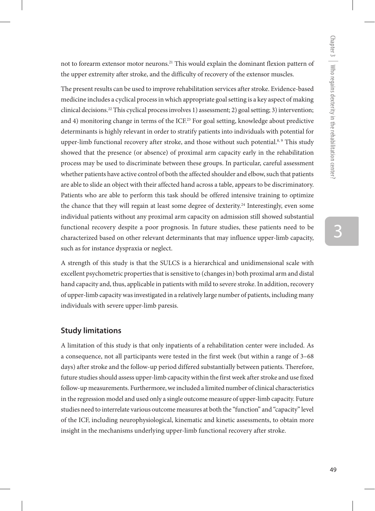not to forearm extensor motor neurons.<sup>21</sup> This would explain the dominant flexion pattern of the upper extremity after stroke, and the difficulty of recovery of the extensor muscles.

The present results can be used to improve rehabilitation services after stroke. Evidence-based medicine includes a cyclical process in which appropriate goal setting is a key aspect of making clinical decisions.22 This cyclical process involves 1) assessment; 2) goal setting; 3) intervention; and 4) monitoring change in terms of the  $ICF<sup>23</sup>$  For goal setting, knowledge about predictive determinants is highly relevant in order to stratify patients into individuals with potential for upper-limb functional recovery after stroke, and those without such potential.<sup>8, 9</sup> This study showed that the presence (or absence) of proximal arm capacity early in the rehabilitation process may be used to discriminate between these groups. In particular, careful assessment whether patients have active control of both the affected shoulder and elbow, such that patients are able to slide an object with their affected hand across a table, appears to be discriminatory. Patients who are able to perform this task should be offered intensive training to optimize the chance that they will regain at least some degree of dexterity.<sup>24</sup> Interestingly, even some individual patients without any proximal arm capacity on admission still showed substantial functional recovery despite a poor prognosis. In future studies, these patients need to be characterized based on other relevant determinants that may influence upper-limb capacity, such as for instance dyspraxia or neglect.

A strength of this study is that the SULCS is a hierarchical and unidimensional scale with excellent psychometric properties that is sensitive to (changes in) both proximal arm and distal hand capacity and, thus, applicable in patients with mild to severe stroke. In addition, recovery of upper-limb capacity was investigated in a relatively large number of patients, including many individuals with severe upper-limb paresis.

#### **Study limitations**

A limitation of this study is that only inpatients of a rehabilitation center were included. As a consequence, not all participants were tested in the first week (but within a range of 3–68 days) after stroke and the follow-up period differed substantially between patients. Therefore, future studies should assess upper-limb capacity within the first week after stroke and use fixed follow-up measurements. Furthermore, we included a limited number of clinical characteristics in the regression model and used only a single outcome measure of upper-limb capacity. Future studies need to interrelate various outcome measures at both the "function" and "capacity" level of the ICF, including neurophysiological, kinematic and kinetic assessments, to obtain more insight in the mechanisms underlying upper-limb functional recovery after stroke.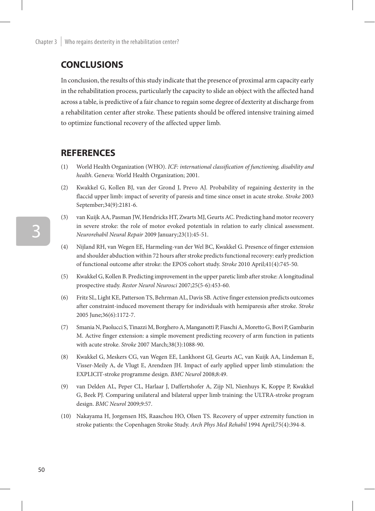## **CONCLUSIONS**

In conclusion, the results of this study indicate that the presence of proximal arm capacity early in the rehabilitation process, particularly the capacity to slide an object with the affected hand across a table, is predictive of a fair chance to regain some degree of dexterity at discharge from a rehabilitation center after stroke. These patients should be offered intensive training aimed to optimize functional recovery of the affected upper limb.

## **REFERENCES**

- (1) World Health Organization (WHO). *ICF: international classification of functioning, disability and health*. Geneva: World Health Organization; 2001.
- (2) Kwakkel G, Kollen BJ, van der Grond J, Prevo AJ. Probability of regaining dexterity in the flaccid upper limb: impact of severity of paresis and time since onset in acute stroke. *Stroke* 2003 September;34(9):2181-6.
- (3) van Kuijk AA, Pasman JW, Hendricks HT, Zwarts MJ, Geurts AC. Predicting hand motor recovery in severe stroke: the role of motor evoked potentials in relation to early clinical assessment. *Neurorehabil Neural Repair* 2009 January;23(1):45-51.
- (4) Nijland RH, van Wegen EE, Harmeling-van der Wel BC, Kwakkel G. Presence of finger extension and shoulder abduction within 72 hours after stroke predicts functional recovery: early prediction of functional outcome after stroke: the EPOS cohort study. *Stroke* 2010 April;41(4):745-50.
- (5) Kwakkel G, Kollen B. Predicting improvement in the upper paretic limb after stroke: A longitudinal prospective study. *Restor Neurol Neurosci* 2007;25(5-6):453-60.
- (6) Fritz SL, Light KE, Patterson TS, Behrman AL, Davis SB. Active finger extension predicts outcomes after constraint-induced movement therapy for individuals with hemiparesis after stroke. *Stroke* 2005 June;36(6):1172-7.
- (7) Smania N, Paolucci S, Tinazzi M, Borghero A, Manganotti P, Fiaschi A, Moretto G, Bovi P, Gambarin M. Active finger extension: a simple movement predicting recovery of arm function in patients with acute stroke. *Stroke* 2007 March;38(3):1088-90.
- (8) Kwakkel G, Meskers CG, van Wegen EE, Lankhorst GJ, Geurts AC, van Kuijk AA, Lindeman E, Visser-Meily A, de Vlugt E, Arendzen JH. Impact of early applied upper limb stimulation: the EXPLICIT-stroke programme design. *BMC Neurol* 2008;8:49.
- (9) van Delden AL, Peper CL, Harlaar J, Daffertshofer A, Zijp NI, Nienhuys K, Koppe P, Kwakkel G, Beek PJ. Comparing unilateral and bilateral upper limb training: the ULTRA-stroke program design. *BMC Neurol* 2009;9:57.
- (10) Nakayama H, Jorgensen HS, Raaschou HO, Olsen TS. Recovery of upper extremity function in stroke patients: the Copenhagen Stroke Study. *Arch Phys Med Rehabil* 1994 April;75(4):394-8.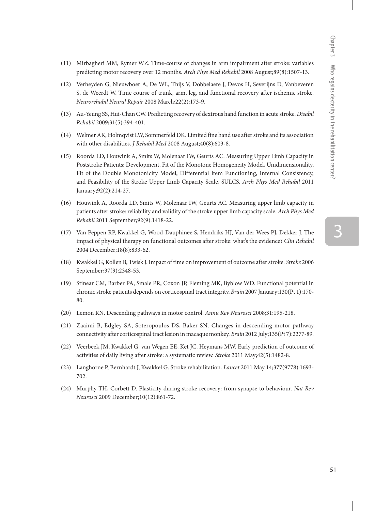- (11) Mirbagheri MM, Rymer WZ. Time-course of changes in arm impairment after stroke: variables predicting motor recovery over 12 months. *Arch Phys Med Rehabil* 2008 August;89(8):1507-13.
- (12) Verheyden G, Nieuwboer A, De WL, Thijs V, Dobbelaere J, Devos H, Severijns D, Vanbeveren S, de Weerdt W. Time course of trunk, arm, leg, and functional recovery after ischemic stroke. *Neurorehabil Neural Repair* 2008 March;22(2):173-9.
- (13) Au-Yeung SS, Hui-Chan CW. Predicting recovery of dextrous hand function in acute stroke. *Disabil Rehabil* 2009;31(5):394-401.
- (14) Welmer AK, Holmqvist LW, Sommerfeld DK. Limited fine hand use after stroke and its association with other disabilities. *J Rehabil Med* 2008 August;40(8):603-8.
- (15) Roorda LD, Houwink A, Smits W, Molenaar IW, Geurts AC. Measuring Upper Limb Capacity in Poststroke Patients: Development, Fit of the Monotone Homogeneity Model, Unidimensionality, Fit of the Double Monotonicity Model, Differential Item Functioning, Internal Consistency, and Feasibility of the Stroke Upper Limb Capacity Scale, SULCS. *Arch Phys Med Rehabil* 2011 January;92(2):214-27.
- (16) Houwink A, Roorda LD, Smits W, Molenaar IW, Geurts AC. Measuring upper limb capacity in patients after stroke: reliability and validity of the stroke upper limb capacity scale. *Arch Phys Med Rehabil* 2011 September;92(9):1418-22.
- (17) Van Peppen RP, Kwakkel G, Wood-Dauphinee S, Hendriks HJ, Van der Wees PJ, Dekker J. The impact of physical therapy on functional outcomes after stroke: what's the evidence? *Clin Rehabil*  2004 December;18(8):833-62.
- (18) Kwakkel G, Kollen B, Twisk J. Impact of time on improvement of outcome after stroke. *Stroke* 2006 September;37(9):2348-53.
- (19) Stinear CM, Barber PA, Smale PR, Coxon JP, Fleming MK, Byblow WD. Functional potential in chronic stroke patients depends on corticospinal tract integrity. *Brain* 2007 January;130(Pt 1):170- 80.
- (20) Lemon RN. Descending pathways in motor control. *Annu Rev Neurosci* 2008;31:195-218.
- (21) Zaaimi B, Edgley SA, Soteropoulos DS, Baker SN. Changes in descending motor pathway connectivity after corticospinal tract lesion in macaque monkey. *Brain* 2012 July;135(Pt 7):2277-89.
- (22) Veerbeek JM, Kwakkel G, van Wegen EE, Ket JC, Heymans MW. Early prediction of outcome of activities of daily living after stroke: a systematic review. *Stroke* 2011 May;42(5):1482-8.
- (23) Langhorne P, Bernhardt J, Kwakkel G. Stroke rehabilitation. *Lancet* 2011 May 14;377(9778):1693- 702.
- (24) Murphy TH, Corbett D. Plasticity during stroke recovery: from synapse to behaviour. *Nat Rev Neurosci* 2009 December;10(12):861-72.

3